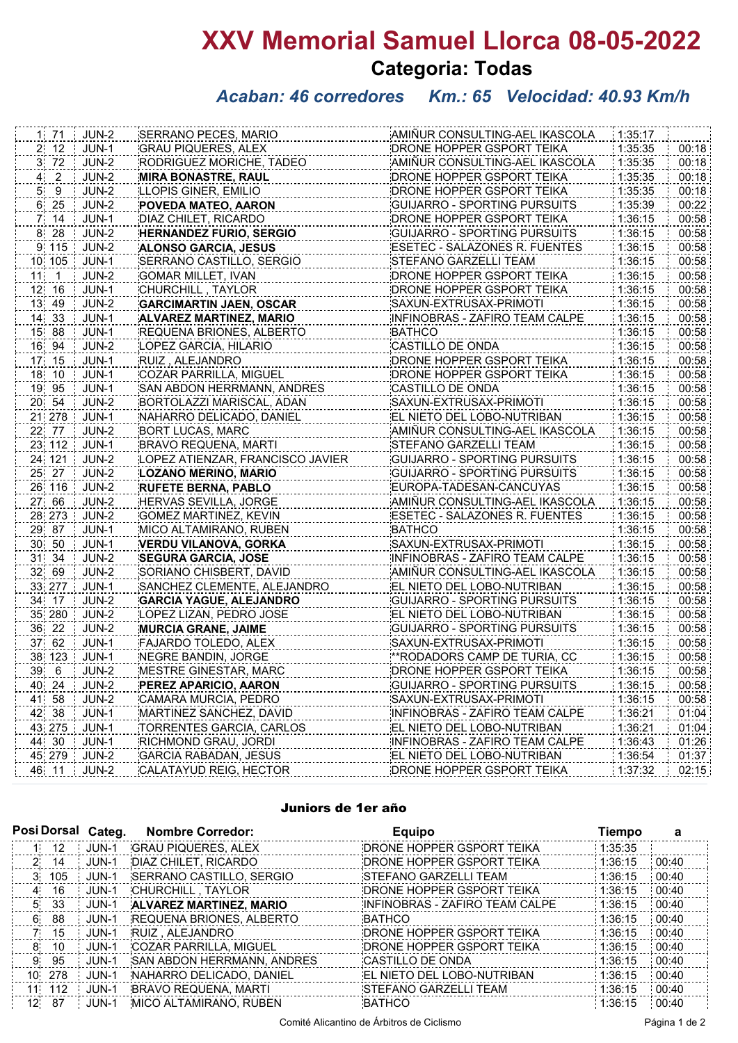# **XXV Memorial Samuel Llorca 08-05-2022 Categoria: Todas**

## *Acaban: 46 corredores Km.: 65 Velocidad: 40.93 Km/h*

|               | $1 \t71$ | JUN-2        | SERRANO PECES, MARIO             | AMIÑUR CONSULTING-AEL IKASCOLA      | 1:35:17 |       |
|---------------|----------|--------------|----------------------------------|-------------------------------------|---------|-------|
|               | 2, 12    | JUN-1        | <b>GRAU PIQUERES, ALEX</b>       | DRONE HOPPER GSPORT TEIKA           | 1:35:35 | 00:18 |
|               | 3 72     | JUN-2        | <b>RODRIGUEZ MORICHE, TADEO</b>  | AMIÑUR CONSULTING-AEL IKASCOLA      | 1:35:35 | 00:18 |
| $\frac{4}{4}$ | $2$ .    | JUN-2        | <b>MIRA BONASTRE, RAUL</b>       | DRONE HOPPER GSPORT TEIKA           | 1:35:35 | 00:18 |
| 5,            | 9        | <b>JUN-2</b> | LLOPIS GINER, EMILIO             | DRONE HOPPER GSPORT TEIKA           | 1:35:35 | 00:18 |
|               | 6 25     | JUN-2        | POVEDA MATEO, AARON              | <b>GUIJARRO - SPORTING PURSUITS</b> | 1:35:39 | 00:22 |
| 7.            | 14       | JUN-1        | DIAZ CHILET, RICARDO             | DRONE HOPPER GSPORT TEIKA           | 1:36:15 | 00:58 |
| 8             | 28       | JUN-2        | <b>HERNANDEZ FURIO, SERGIO</b>   | GUIJARRO - SPORTING PURSUITS        | 1:36:15 | 00:58 |
|               | 9 115    | JUN-2        | ALONSO GARCIA, JESUS             | ESETEC - SALAZONES R. FUENTES       | 1:36:15 | 00:58 |
|               | 10 105   | JUN-1        | SERRANO CASTILLO, SERGIO         | STEFANO GARZELLI TEAM               | 1:36:15 | 00:58 |
|               | $11 - 1$ | JUN-2        | <b>GOMAR MILLET, IVAN</b>        | DRONE HOPPER GSPORT TEIKA           | 1:36:15 | 00:58 |
|               | 12 16    | $JUN-1$      | CHURCHILL, TAYLOR                | DRONE HOPPER GSPORT TEIKA           | 1:36:15 | 00:58 |
|               | 13 49    | JUN-2        | <b>GARCIMARTIN JAEN, OSCAR</b>   | SAXUN-EXTRUSAX-PRIMOTI              | 1:36:15 | 00:58 |
|               | 14 33    | JUN-1        | <b>ALVAREZ MARTINEZ, MARIO</b>   | INFINOBRAS - ZAFIRO TEAM CALPE      | 1:36:15 | 00:58 |
|               | 15 88    | JUN-1        | REQUENA BRIONES, ALBERTO         | <b>BATHCO</b>                       | 1:36:15 | 00:58 |
|               | 16 94    | JUN-2        | LOPEZ GARCIA, HILARIO            | CASTILLO DE ONDA                    | 1:36:15 | 00:58 |
|               | 17 15    | JUN-1        | RUIZ, ALEJANDRO                  | DRONE HOPPER GSPORT TEIKA           | 1:36:15 | 00:58 |
|               | 18 10    | JUN-1        | COZAR PARRILLA, MIGUEL           | DRONE HOPPER GSPORT TEIKA           | 1:36:15 | 00:58 |
|               | 19 95    | JUN-1        | SAN ABDON HERRMANN, ANDRES       | CASTILLO DE ONDA                    | 1:36:15 | 00:58 |
|               | 20 54    | JUN-2        | BORTOLAZZI MARISCAL, ADAN        | SAXUN-EXTRUSAX-PRIMOTI              | 1:36:15 | 00:58 |
|               | 21 278   | JUN-1        | NAHARRO DELICADO, DANIEL         | EL NIETO DEL LOBO-NUTRIBAN          | 1:36:15 | 00:58 |
|               | 22 77    | JUN-2        | BORT LUCAS, MARC                 | AMIÑUR CONSULTING-AEL IKASCOLA      | 1:36:15 | 00:58 |
|               | 23 112   | JUN-1        | <b>BRAVO REQUENA, MARTI</b>      | STEFANO GARZELLI TEAM               | 1:36:15 | 00:58 |
|               | 24 121   | JUN-2        | LOPEZ ATIENZAR, FRANCISCO JAVIER | GUIJARRO - SPORTING PURSUITS        | 1:36:15 | 00:58 |
|               | 25 27    | $JUN-2$      | LOZANO MERINO, MARIO             | <b>GUIJARRO - SPORTING PURSUITS</b> | 1:36:15 | 00:58 |
|               | 26 116   | JUN-2        | <b>RUFETE BERNA, PABLO</b>       | EUROPA-TADESAN-CANCUYAS             | 1:36:15 | 00:58 |
|               | 27 66    | $JUN-2$      | <b>HERVAS SEVILLA, JORGE</b>     | AMIÑUR CONSULTING-AEL IKASCOLA      | 1:36:15 | 00:58 |
|               | 28 273   | JUN-2        | <b>GOMEZ MARTINEZ, KEVIN</b>     | ESETEC - SALAZONES R. FUENTES       | 1:36:15 | 00:58 |
|               | 29 87    | JUN-1        | MICO ALTAMIRANO, RUBEN           | <b>BATHCO</b>                       | 1:36:15 | 00:58 |
|               | 30 50    | JUN-1        | <b>VERDU VILANOVA, GORKA</b>     | SAXUN-EXTRUSAX-PRIMOTI              | 1:36:15 | 00:58 |
|               | 31 34    | JUN-2        | <b>SEGURA GARCIA, JOSE</b>       | INFINOBRAS - ZAFIRO TEAM CALPE      | 1:36:15 | 00:58 |
|               | 32 69    | JUN-2        | SORIANO CHISBERT, DAVID          | AMIÑUR CONSULTING-AEL IKASCOLA      | 1:36:15 | 00:58 |
|               | 33 277   | JUN-1        | SANCHEZ CLEMENTE, ALEJANDRO      | EL NIETO DEL LOBO-NUTRIBAN          | 1:36:15 | 00:58 |
|               | 34 17    | $JUN-2$      | <b>GARCIA YAGUE, ALEJANDRO</b>   | GUIJARRO - SPORTING PURSUITS        | 1:36:15 | 00:58 |
|               | 35 280   | JUN-2        | LOPEZ LIZAN, PEDRO JOSE          | EL NIETO DEL LOBO-NUTRIBAN          | 1:36:15 | 00:58 |
|               | 36 22    | JUN-2        | <b>MURCIA GRANE, JAIME</b>       | <b>GUIJARRO - SPORTING PURSUITS</b> | 1:36:15 | 00:58 |
|               | 37 62    | JUN-1        | FAJARDO TOLEDO, ALEX             | SAXUN-EXTRUSAX-PRIMOTI              | 1:36:15 | 00:58 |
|               | 38 123   | JUN-1        | NEGRE BANDIN, JORGE              | ** RODADORS CAMP DE TURIA, CC       | 1:36:15 | 00:58 |
|               | 39 6     | JUN-2        | MESTRE GINESTAR, MARC            | DRONE HOPPER GSPORT TEIKA           | 1:36:15 | 00:58 |
|               | 40 24    | JUN-2        | PEREZ APARICIO, AARON            | <b>GUIJARRO - SPORTING PURSUITS</b> | 1:36:15 | 00:58 |
|               | 41 58    | JUN-2        | CAMARA MURCIA, PEDRO             | SAXUN-EXTRUSAX-PRIMOTI              | 1:36:15 | 00:58 |
|               | 42 38    | JUN-1        | MARTINEZ SANCHEZ, DAVID          | INFINOBRAS - ZAFIRO TEAM CALPE      | 1:36:21 | 01:04 |
|               | 43 275   | JUN-1        | TORRENTES GARCIA, CARLOS         | EL NIETO DEL LOBO-NUTRIBAN          | 1:36:21 | 01:04 |
|               | 44 30    | JUN-1        | RICHMOND GRAU, JORDI             | INFINOBRAS - ZAFIRO TEAM CALPE      | 1:36:43 | 01:26 |
|               | 45 279   | JUN-2        | <b>GARCIA RABADAN, JESUS</b>     | EL NIETO DEL LOBO-NUTRIBAN          | 1:36:54 | 01:37 |
|               | 46 11    | JUN-2        | CALATAYUD REIG, HECTOR           | DRONE HOPPER GSPORT TEIKA           | 1:37:32 | 02:15 |
|               |          |              |                                  |                                     |         |       |

#### Juniors de 1er año

| Posi Dorsal Categ. |                 |       | <b>Nombre Corredor:</b>         | <b>Equipo</b>                  | Tiempo  | а     |
|--------------------|-----------------|-------|---------------------------------|--------------------------------|---------|-------|
|                    | 12 <sup>°</sup> | JUN-1 | <b>GRAU PIQUERES, ALEX</b>      | DRONE HOPPER GSPORT TEIKA      | 1:35:35 |       |
| $2^{\circ}$        | 14              | JUN-1 | DIAZ CHILET, RICARDO            | DRONE HOPPER GSPORT TEIKA      | 1:36:15 | 00:40 |
| $3^{\circ}$        | 105             | JUN-1 | SERRANO CASTILLO, SERGIO        | <b>STEFANO GARZELLI TEAM</b>   | 1:36:15 | 00:40 |
| 4                  | 16              | JUN-1 | CHURCHILL, TAYLOR               | DRONE HOPPER GSPORT TEIKA      | 1:36:15 | 00:40 |
| 5.                 | -33             | JUN-1 | <b>ALVAREZ MARTINEZ, MARIO</b>  | INFINOBRAS - ZAFIRO TEAM CALPE | 1:36:15 | 00:40 |
| 6                  | 88              | JUN-1 | <b>REQUENA BRIONES, ALBERTO</b> | <b>BATHCO</b>                  | 1:36:15 | 00:40 |
| 7.                 | 15              | JUN-1 | RUIZ, ALEJANDRO                 | DRONE HOPPER GSPORT TEIKA      | 1:36:15 | 00:40 |
| 8                  | 10              | JUN-1 | COZAR PARRILLA, MIGUEL          | DRONE HOPPER GSPORT TEIKA      | 1:36:15 | 00:40 |
| 9                  | 95              | JUN-1 | SAN ABDON HERRMANN, ANDRES      | CASTILLO DE ONDA               | 1:36:15 | 00:40 |
|                    | 10 278          | JUN-1 | NAHARRO DELICADO, DANIEL        | EL NIETO DEL LOBO-NUTRIBAN     | 1:36:15 | 00:40 |
|                    | 11 112          | JUN-1 | BRAVO REQUENA, MARTI            | <b>STEFANO GARZELLI TEAM</b>   | 1:36:15 | 00:40 |
| 12 <sup>1</sup>    | 87              | JUN-1 | MICO ALTAMIRANO, RUBEN          | <b>BATHCO</b>                  | 1:36:15 | 00:40 |